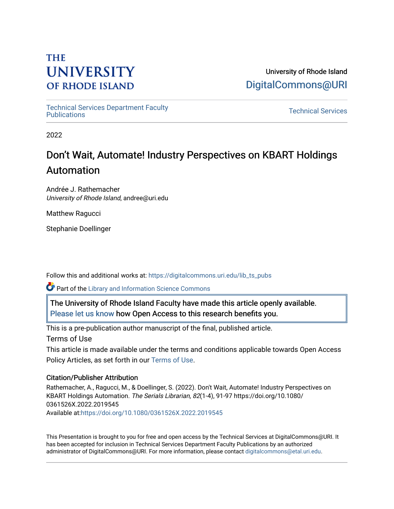# **THE UNIVERSITY OF RHODE ISLAND**

University of Rhode Island [DigitalCommons@URI](https://digitalcommons.uri.edu/) 

[Technical Services Department Faculty](https://digitalcommons.uri.edu/lib_ts_pubs)  Technical Services Department Faculty<br>[Publications](https://digitalcommons.uri.edu/lib_ts_pubs) Technical Services

2022

# Don't Wait, Automate! Industry Perspectives on KBART Holdings Automation

Andrée J. Rathemacher University of Rhode Island, andree@uri.edu

Matthew Ragucci

Stephanie Doellinger

Follow this and additional works at: [https://digitalcommons.uri.edu/lib\\_ts\\_pubs](https://digitalcommons.uri.edu/lib_ts_pubs?utm_source=digitalcommons.uri.edu%2Flib_ts_pubs%2F147&utm_medium=PDF&utm_campaign=PDFCoverPages)

Part of the [Library and Information Science Commons](https://network.bepress.com/hgg/discipline/1018?utm_source=digitalcommons.uri.edu%2Flib_ts_pubs%2F147&utm_medium=PDF&utm_campaign=PDFCoverPages) 

The University of Rhode Island Faculty have made this article openly available. [Please let us know](http://web.uri.edu/library-digital-initiatives/open-access-online-form/) how Open Access to this research benefits you.

This is a pre-publication author manuscript of the final, published article.

Terms of Use

This article is made available under the terms and conditions applicable towards Open Access Policy Articles, as set forth in our [Terms of Use](https://digitalcommons.uri.edu/lib_ts_pubs/oa_policy_terms.html).

## Citation/Publisher Attribution

Rathemacher, A., Ragucci, M., & Doellinger, S. (2022). Don't Wait, Automate! Industry Perspectives on KBART Holdings Automation. The Serials Librarian, 82(1-4), 91-97 https://doi.org/10.1080/ 0361526X.2022.2019545 Available at:<https://doi.org/10.1080/0361526X.2022.2019545>

This Presentation is brought to you for free and open access by the Technical Services at DigitalCommons@URI. It has been accepted for inclusion in Technical Services Department Faculty Publications by an authorized administrator of DigitalCommons@URI. For more information, please contact [digitalcommons@etal.uri.edu.](mailto:digitalcommons@etal.uri.edu)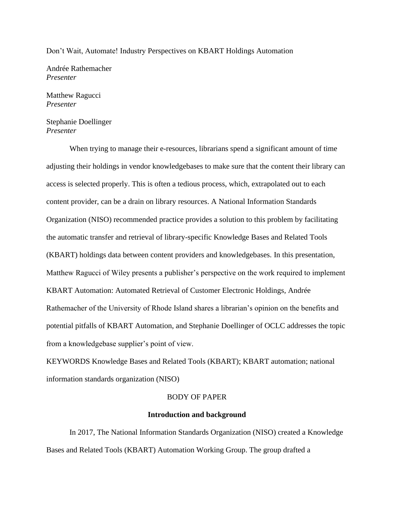#### Don't Wait, Automate! Industry Perspectives on KBART Holdings Automation

Andrée Rathemacher *Presenter*

Matthew Ragucci *Presenter*

Stephanie Doellinger *Presenter*

When trying to manage their e-resources, librarians spend a significant amount of time adjusting their holdings in vendor knowledgebases to make sure that the content their library can access is selected properly. This is often a tedious process, which, extrapolated out to each content provider, can be a drain on library resources. A National Information Standards Organization (NISO) recommended practice provides a solution to this problem by facilitating the automatic transfer and retrieval of library-specific Knowledge Bases and Related Tools (KBART) holdings data between content providers and knowledgebases. In this presentation, Matthew Ragucci of Wiley presents a publisher's perspective on the work required to implement KBART Automation: Automated Retrieval of Customer Electronic Holdings*,* Andrée Rathemacher of the University of Rhode Island shares a librarian's opinion on the benefits and potential pitfalls of KBART Automation, and Stephanie Doellinger of OCLC addresses the topic from a knowledgebase supplier's point of view.

KEYWORDS Knowledge Bases and Related Tools (KBART); KBART automation; national information standards organization (NISO)

### BODY OF PAPER

#### **Introduction and background**

In 2017, The National Information Standards Organization (NISO) created a Knowledge Bases and Related Tools (KBART) Automation Working Group. The group drafted a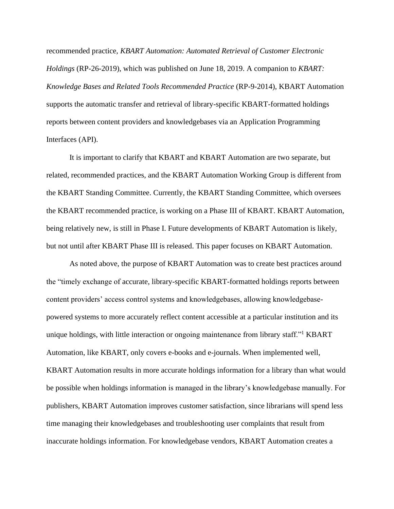recommended practice, *KBART Automation: Automated Retrieval of Customer Electronic Holdings* (RP-26-2019), which was published on June 18, 2019. A companion to *KBART: Knowledge Bases and Related Tools Recommended Practice* (RP-9-2014), KBART Automation supports the automatic transfer and retrieval of library-specific KBART-formatted holdings reports between content providers and knowledgebases via an Application Programming Interfaces (API).

It is important to clarify that KBART and KBART Automation are two separate, but related, recommended practices, and the KBART Automation Working Group is different from the KBART Standing Committee. Currently, the KBART Standing Committee, which oversees the KBART recommended practice, is working on a Phase III of KBART. KBART Automation, being relatively new, is still in Phase I. Future developments of KBART Automation is likely, but not until after KBART Phase III is released. This paper focuses on KBART Automation.

As noted above, the purpose of KBART Automation was to create best practices around the "timely exchange of accurate, library-specific KBART-formatted holdings reports between content providers' access control systems and knowledgebases, allowing knowledgebasepowered systems to more accurately reflect content accessible at a particular institution and its unique holdings, with little interaction or ongoing maintenance from library staff." KBART Automation, like KBART, only covers e-books and e-journals. When implemented well, KBART Automation results in more accurate holdings information for a library than what would be possible when holdings information is managed in the library's knowledgebase manually. For publishers, KBART Automation improves customer satisfaction, since librarians will spend less time managing their knowledgebases and troubleshooting user complaints that result from inaccurate holdings information. For knowledgebase vendors, KBART Automation creates a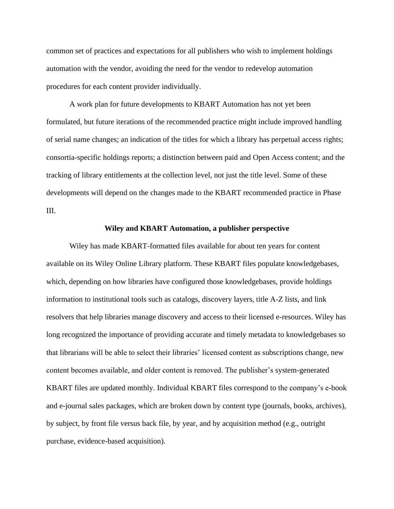common set of practices and expectations for all publishers who wish to implement holdings automation with the vendor, avoiding the need for the vendor to redevelop automation procedures for each content provider individually.

A work plan for future developments to KBART Automation has not yet been formulated, but future iterations of the recommended practice might include improved handling of serial name changes; an indication of the titles for which a library has perpetual access rights; consortia-specific holdings reports; a distinction between paid and Open Access content; and the tracking of library entitlements at the collection level, not just the title level. Some of these developments will depend on the changes made to the KBART recommended practice in Phase III.

#### **Wiley and KBART Automation, a publisher perspective**

Wiley has made KBART-formatted files available for about ten years for content available on its Wiley Online Library platform. These KBART files populate knowledgebases, which, depending on how libraries have configured those knowledgebases, provide holdings information to institutional tools such as catalogs, discovery layers, title A-Z lists, and link resolvers that help libraries manage discovery and access to their licensed e-resources. Wiley has long recognized the importance of providing accurate and timely metadata to knowledgebases so that librarians will be able to select their libraries' licensed content as subscriptions change, new content becomes available, and older content is removed. The publisher's system-generated KBART files are updated monthly. Individual KBART files correspond to the company's e-book and e-journal sales packages, which are broken down by content type (journals, books, archives), by subject, by front file versus back file, by year, and by acquisition method (e.g., outright purchase, evidence-based acquisition).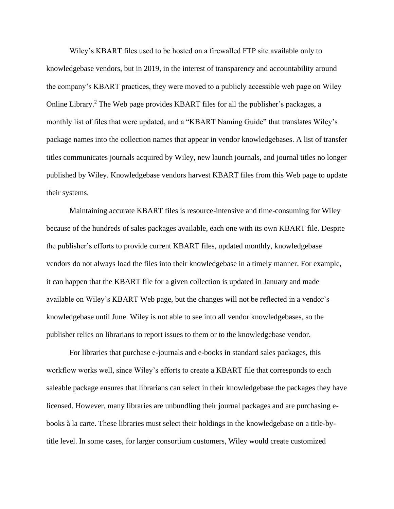Wiley's KBART files used to be hosted on a firewalled FTP site available only to knowledgebase vendors, but in 2019, in the interest of transparency and accountability around the company's KBART practices, they were moved to a publicly accessible web page on Wiley Online Library.<sup>2</sup> The Web page provides KBART files for all the publisher's packages, a monthly list of files that were updated, and a "KBART Naming Guide" that translates Wiley's package names into the collection names that appear in vendor knowledgebases. A list of transfer titles communicates journals acquired by Wiley, new launch journals, and journal titles no longer published by Wiley. Knowledgebase vendors harvest KBART files from this Web page to update their systems.

Maintaining accurate KBART files is resource-intensive and time-consuming for Wiley because of the hundreds of sales packages available, each one with its own KBART file. Despite the publisher's efforts to provide current KBART files, updated monthly, knowledgebase vendors do not always load the files into their knowledgebase in a timely manner. For example, it can happen that the KBART file for a given collection is updated in January and made available on Wiley's KBART Web page, but the changes will not be reflected in a vendor's knowledgebase until June. Wiley is not able to see into all vendor knowledgebases, so the publisher relies on librarians to report issues to them or to the knowledgebase vendor.

For libraries that purchase e-journals and e-books in standard sales packages, this workflow works well, since Wiley's efforts to create a KBART file that corresponds to each saleable package ensures that librarians can select in their knowledgebase the packages they have licensed. However, many libraries are unbundling their journal packages and are purchasing ebooks à la carte. These libraries must select their holdings in the knowledgebase on a title-bytitle level. In some cases, for larger consortium customers, Wiley would create customized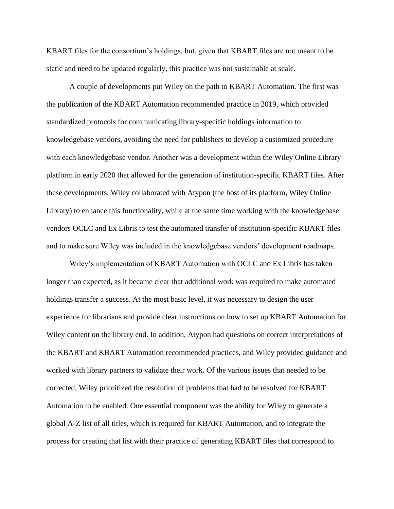KBART files for the consortium's holdings, but, given that KBART files are not meant to be static and need to be updated regularly, this practice was not sustainable at scale.

A couple of developments put Wiley on the path to KBART Automation. The first was the publication of the KBART Automation recommended practice in 2019, which provided standardized protocols for communicating library-specific holdings information to knowledgebase vendors, avoiding the need for publishers to develop a customized procedure with each knowledgebase vendor. Another was a development within the Wiley Online Library platform in early 2020 that allowed for the generation of institution-specific KBART files. After these developments, Wiley collaborated with Atypon (the host of its platform, Wiley Online Library) to enhance this functionality, while at the same time working with the knowledgebase vendors OCLC and Ex Libris to test the automated transfer of institution-specific KBART files and to make sure Wiley was included in the knowledgebase vendors' development roadmaps.

Wiley's implementation of KBART Automation with OCLC and Ex Libris has taken longer than expected, as it became clear that additional work was required to make automated holdings transfer a success. At the most basic level, it was necessary to design the user experience for librarians and provide clear instructions on how to set up KBART Automation for Wiley content on the library end. In addition, Atypon had questions on correct interpretations of the KBART and KBART Automation recommended practices, and Wiley provided guidance and worked with library partners to validate their work. Of the various issues that needed to be corrected, Wiley prioritized the resolution of problems that had to be resolved for KBART Automation to be enabled. One essential component was the ability for Wiley to generate a global A-Z list of all titles, which is required for KBART Automation, and to integrate the process for creating that list with their practice of generating KBART files that correspond to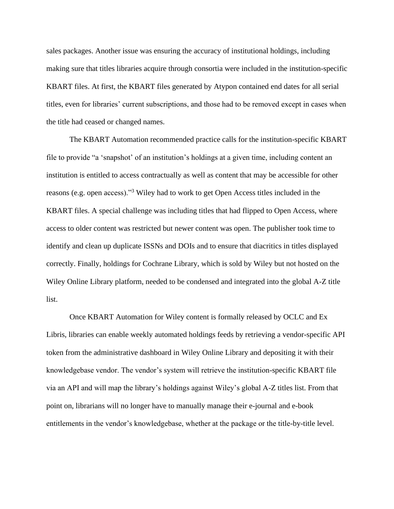sales packages. Another issue was ensuring the accuracy of institutional holdings, including making sure that titles libraries acquire through consortia were included in the institution-specific KBART files. At first, the KBART files generated by Atypon contained end dates for all serial titles, even for libraries' current subscriptions, and those had to be removed except in cases when the title had ceased or changed names.

The KBART Automation recommended practice calls for the institution-specific KBART file to provide "a 'snapshot' of an institution's holdings at a given time, including content an institution is entitled to access contractually as well as content that may be accessible for other reasons (e.g. open access)."<sup>3</sup> Wiley had to work to get Open Access titles included in the KBART files. A special challenge was including titles that had flipped to Open Access, where access to older content was restricted but newer content was open. The publisher took time to identify and clean up duplicate ISSNs and DOIs and to ensure that diacritics in titles displayed correctly. Finally, holdings for Cochrane Library, which is sold by Wiley but not hosted on the Wiley Online Library platform, needed to be condensed and integrated into the global A-Z title list.

Once KBART Automation for Wiley content is formally released by OCLC and Ex Libris, libraries can enable weekly automated holdings feeds by retrieving a vendor-specific API token from the administrative dashboard in Wiley Online Library and depositing it with their knowledgebase vendor. The vendor's system will retrieve the institution-specific KBART file via an API and will map the library's holdings against Wiley's global A-Z titles list. From that point on, librarians will no longer have to manually manage their e-journal and e-book entitlements in the vendor's knowledgebase, whether at the package or the title-by-title level.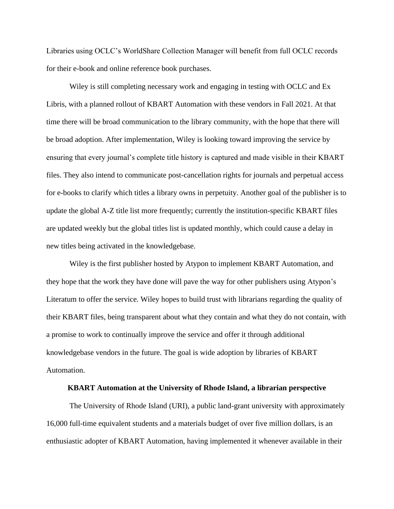Libraries using OCLC's WorldShare Collection Manager will benefit from full OCLC records for their e-book and online reference book purchases.

Wiley is still completing necessary work and engaging in testing with OCLC and Ex Libris, with a planned rollout of KBART Automation with these vendors in Fall 2021. At that time there will be broad communication to the library community, with the hope that there will be broad adoption. After implementation, Wiley is looking toward improving the service by ensuring that every journal's complete title history is captured and made visible in their KBART files. They also intend to communicate post-cancellation rights for journals and perpetual access for e-books to clarify which titles a library owns in perpetuity. Another goal of the publisher is to update the global A-Z title list more frequently; currently the institution-specific KBART files are updated weekly but the global titles list is updated monthly, which could cause a delay in new titles being activated in the knowledgebase.

Wiley is the first publisher hosted by Atypon to implement KBART Automation, and they hope that the work they have done will pave the way for other publishers using Atypon's Literatum to offer the service. Wiley hopes to build trust with librarians regarding the quality of their KBART files, being transparent about what they contain and what they do not contain, with a promise to work to continually improve the service and offer it through additional knowledgebase vendors in the future. The goal is wide adoption by libraries of KBART Automation.

### **KBART Automation at the University of Rhode Island, a librarian perspective**

The University of Rhode Island (URI), a public land-grant university with approximately 16,000 full-time equivalent students and a materials budget of over five million dollars, is an enthusiastic adopter of KBART Automation, having implemented it whenever available in their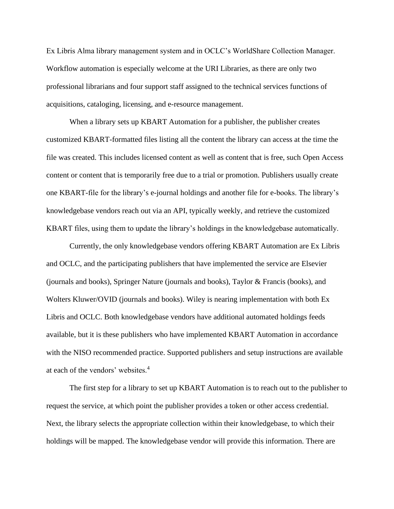Ex Libris Alma library management system and in OCLC's WorldShare Collection Manager. Workflow automation is especially welcome at the URI Libraries, as there are only two professional librarians and four support staff assigned to the technical services functions of acquisitions, cataloging, licensing, and e-resource management.

When a library sets up KBART Automation for a publisher, the publisher creates customized KBART-formatted files listing all the content the library can access at the time the file was created. This includes licensed content as well as content that is free, such Open Access content or content that is temporarily free due to a trial or promotion. Publishers usually create one KBART-file for the library's e-journal holdings and another file for e-books. The library's knowledgebase vendors reach out via an API, typically weekly, and retrieve the customized KBART files, using them to update the library's holdings in the knowledgebase automatically.

Currently, the only knowledgebase vendors offering KBART Automation are Ex Libris and OCLC, and the participating publishers that have implemented the service are Elsevier (journals and books), Springer Nature (journals and books), Taylor & Francis (books), and Wolters Kluwer/OVID (journals and books). Wiley is nearing implementation with both Ex Libris and OCLC. Both knowledgebase vendors have additional automated holdings feeds available, but it is these publishers who have implemented KBART Automation in accordance with the NISO recommended practice. Supported publishers and setup instructions are available at each of the vendors' websites.<sup>4</sup>

The first step for a library to set up KBART Automation is to reach out to the publisher to request the service, at which point the publisher provides a token or other access credential. Next, the library selects the appropriate collection within their knowledgebase, to which their holdings will be mapped. The knowledgebase vendor will provide this information. There are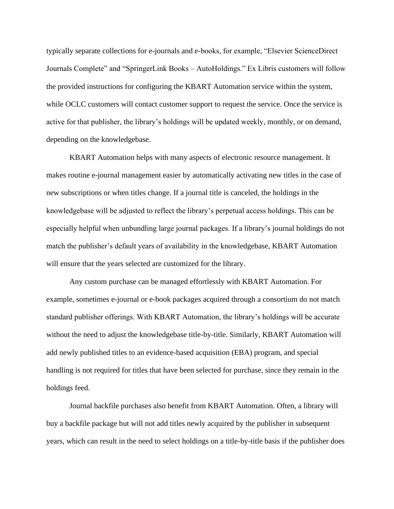typically separate collections for e-journals and e-books, for example, "Elsevier ScienceDirect Journals Complete" and "SpringerLink Books – AutoHoldings." Ex Libris customers will follow the provided instructions for configuring the KBART Automation service within the system, while OCLC customers will contact customer support to request the service. Once the service is active for that publisher, the library's holdings will be updated weekly, monthly, or on demand, depending on the knowledgebase.

KBART Automation helps with many aspects of electronic resource management. It makes routine e-journal management easier by automatically activating new titles in the case of new subscriptions or when titles change. If a journal title is canceled, the holdings in the knowledgebase will be adjusted to reflect the library's perpetual access holdings. This can be especially helpful when unbundling large journal packages. If a library's journal holdings do not match the publisher's default years of availability in the knowledgebase, KBART Automation will ensure that the years selected are customized for the library.

Any custom purchase can be managed effortlessly with KBART Automation. For example, sometimes e-journal or e-book packages acquired through a consortium do not match standard publisher offerings. With KBART Automation, the library's holdings will be accurate without the need to adjust the knowledgebase title-by-title. Similarly, KBART Automation will add newly published titles to an evidence-based acquisition (EBA) program, and special handling is not required for titles that have been selected for purchase, since they remain in the holdings feed.

Journal backfile purchases also benefit from KBART Automation. Often, a library will buy a backfile package but will not add titles newly acquired by the publisher in subsequent years, which can result in the need to select holdings on a title-by-title basis if the publisher does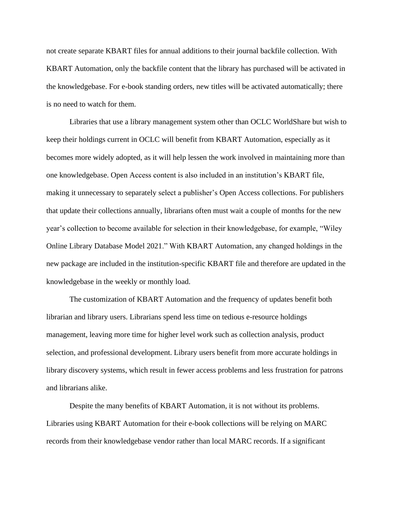not create separate KBART files for annual additions to their journal backfile collection. With KBART Automation, only the backfile content that the library has purchased will be activated in the knowledgebase. For e-book standing orders, new titles will be activated automatically; there is no need to watch for them.

Libraries that use a library management system other than OCLC WorldShare but wish to keep their holdings current in OCLC will benefit from KBART Automation, especially as it becomes more widely adopted, as it will help lessen the work involved in maintaining more than one knowledgebase. Open Access content is also included in an institution's KBART file, making it unnecessary to separately select a publisher's Open Access collections. For publishers that update their collections annually, librarians often must wait a couple of months for the new year's collection to become available for selection in their knowledgebase, for example, "Wiley Online Library Database Model 2021." With KBART Automation, any changed holdings in the new package are included in the institution-specific KBART file and therefore are updated in the knowledgebase in the weekly or monthly load.

The customization of KBART Automation and the frequency of updates benefit both librarian and library users. Librarians spend less time on tedious e-resource holdings management, leaving more time for higher level work such as collection analysis, product selection, and professional development. Library users benefit from more accurate holdings in library discovery systems, which result in fewer access problems and less frustration for patrons and librarians alike.

Despite the many benefits of KBART Automation, it is not without its problems. Libraries using KBART Automation for their e-book collections will be relying on MARC records from their knowledgebase vendor rather than local MARC records. If a significant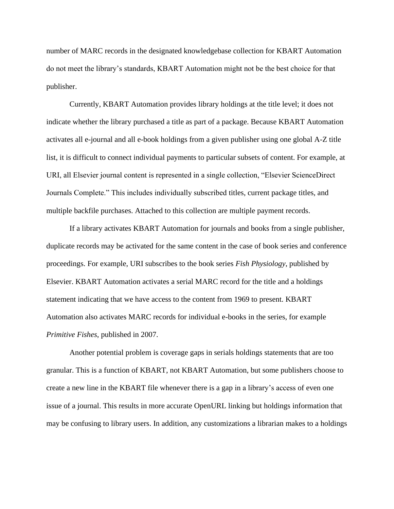number of MARC records in the designated knowledgebase collection for KBART Automation do not meet the library's standards, KBART Automation might not be the best choice for that publisher.

Currently, KBART Automation provides library holdings at the title level; it does not indicate whether the library purchased a title as part of a package. Because KBART Automation activates all e-journal and all e-book holdings from a given publisher using one global A-Z title list, it is difficult to connect individual payments to particular subsets of content. For example, at URI, all Elsevier journal content is represented in a single collection, "Elsevier ScienceDirect Journals Complete." This includes individually subscribed titles, current package titles, and multiple backfile purchases. Attached to this collection are multiple payment records.

If a library activates KBART Automation for journals and books from a single publisher, duplicate records may be activated for the same content in the case of book series and conference proceedings. For example, URI subscribes to the book series *Fish Physiology*, published by Elsevier. KBART Automation activates a serial MARC record for the title and a holdings statement indicating that we have access to the content from 1969 to present. KBART Automation also activates MARC records for individual e-books in the series, for example *Primitive Fishes*, published in 2007.

Another potential problem is coverage gaps in serials holdings statements that are too granular. This is a function of KBART, not KBART Automation, but some publishers choose to create a new line in the KBART file whenever there is a gap in a library's access of even one issue of a journal. This results in more accurate OpenURL linking but holdings information that may be confusing to library users. In addition, any customizations a librarian makes to a holdings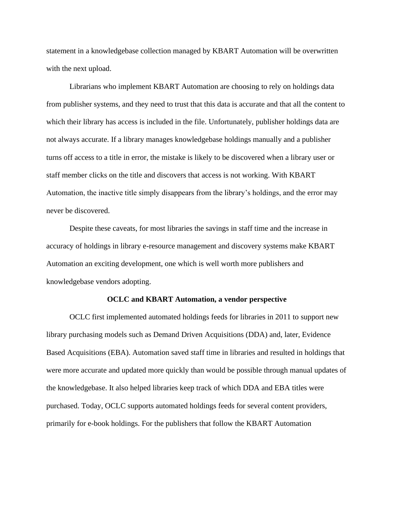statement in a knowledgebase collection managed by KBART Automation will be overwritten with the next upload.

Librarians who implement KBART Automation are choosing to rely on holdings data from publisher systems, and they need to trust that this data is accurate and that all the content to which their library has access is included in the file. Unfortunately, publisher holdings data are not always accurate. If a library manages knowledgebase holdings manually and a publisher turns off access to a title in error, the mistake is likely to be discovered when a library user or staff member clicks on the title and discovers that access is not working. With KBART Automation, the inactive title simply disappears from the library's holdings, and the error may never be discovered.

Despite these caveats, for most libraries the savings in staff time and the increase in accuracy of holdings in library e-resource management and discovery systems make KBART Automation an exciting development, one which is well worth more publishers and knowledgebase vendors adopting.

#### **OCLC and KBART Automation, a vendor perspective**

OCLC first implemented automated holdings feeds for libraries in 2011 to support new library purchasing models such as Demand Driven Acquisitions (DDA) and, later, Evidence Based Acquisitions (EBA). Automation saved staff time in libraries and resulted in holdings that were more accurate and updated more quickly than would be possible through manual updates of the knowledgebase. It also helped libraries keep track of which DDA and EBA titles were purchased. Today, OCLC supports automated holdings feeds for several content providers, primarily for e-book holdings. For the publishers that follow the KBART Automation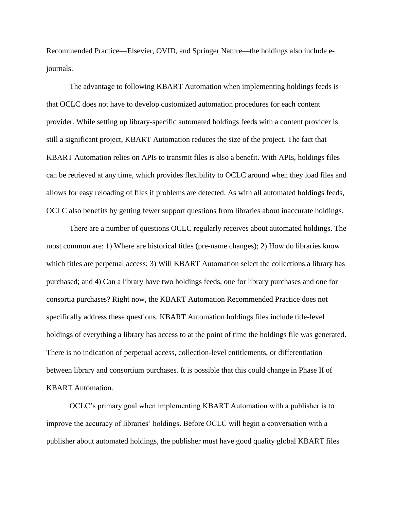Recommended Practice—Elsevier, OVID, and Springer Nature—the holdings also include ejournals.

The advantage to following KBART Automation when implementing holdings feeds is that OCLC does not have to develop customized automation procedures for each content provider. While setting up library-specific automated holdings feeds with a content provider is still a significant project, KBART Automation reduces the size of the project. The fact that KBART Automation relies on APIs to transmit files is also a benefit. With APIs, holdings files can be retrieved at any time, which provides flexibility to OCLC around when they load files and allows for easy reloading of files if problems are detected. As with all automated holdings feeds, OCLC also benefits by getting fewer support questions from libraries about inaccurate holdings.

There are a number of questions OCLC regularly receives about automated holdings. The most common are: 1) Where are historical titles (pre-name changes); 2) How do libraries know which titles are perpetual access; 3) Will KBART Automation select the collections a library has purchased; and 4) Can a library have two holdings feeds, one for library purchases and one for consortia purchases? Right now, the KBART Automation Recommended Practice does not specifically address these questions. KBART Automation holdings files include title-level holdings of everything a library has access to at the point of time the holdings file was generated. There is no indication of perpetual access, collection-level entitlements, or differentiation between library and consortium purchases. It is possible that this could change in Phase II of KBART Automation.

OCLC's primary goal when implementing KBART Automation with a publisher is to improve the accuracy of libraries' holdings. Before OCLC will begin a conversation with a publisher about automated holdings, the publisher must have good quality global KBART files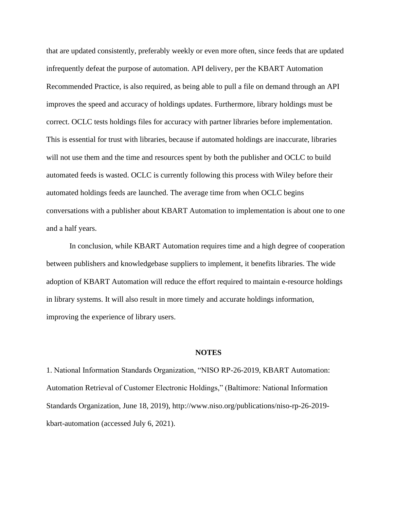that are updated consistently, preferably weekly or even more often, since feeds that are updated infrequently defeat the purpose of automation. API delivery, per the KBART Automation Recommended Practice, is also required, as being able to pull a file on demand through an API improves the speed and accuracy of holdings updates. Furthermore, library holdings must be correct. OCLC tests holdings files for accuracy with partner libraries before implementation. This is essential for trust with libraries, because if automated holdings are inaccurate, libraries will not use them and the time and resources spent by both the publisher and OCLC to build automated feeds is wasted. OCLC is currently following this process with Wiley before their automated holdings feeds are launched. The average time from when OCLC begins conversations with a publisher about KBART Automation to implementation is about one to one and a half years.

In conclusion, while KBART Automation requires time and a high degree of cooperation between publishers and knowledgebase suppliers to implement, it benefits libraries. The wide adoption of KBART Automation will reduce the effort required to maintain e-resource holdings in library systems. It will also result in more timely and accurate holdings information, improving the experience of library users.

#### **NOTES**

1. National Information Standards Organization, "NISO RP-26-2019, KBART Automation: Automation Retrieval of Customer Electronic Holdings," (Baltimore: National Information Standards Organization, June 18, 2019), http://www.niso.org/publications/niso-rp-26-2019 kbart-automation (accessed July 6, 2021).